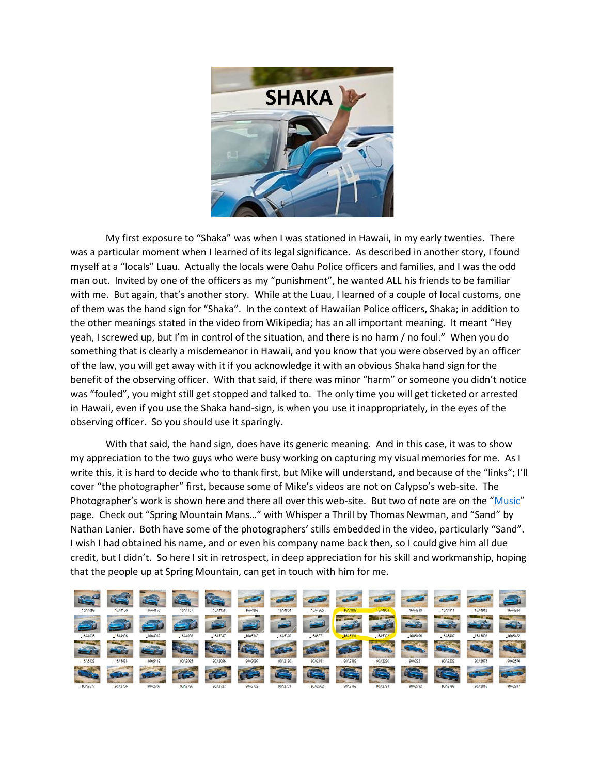

My first exposure to "Shaka" was when I was stationed in Hawaii, in my early twenties. There was a particular moment when I learned of its legal significance. As described in another story, I found myself at a "locals" Luau. Actually the locals were Oahu Police officers and families, and I was the odd man out. Invited by one of the officers as my "punishment", he wanted ALL his friends to be familiar with me. But again, that's another story. While at the Luau, I learned of a couple of local customs, one of them was the hand sign for "Shaka". In the context of Hawaiian Police officers, Shaka; in addition to the other meanings stated in the video from Wikipedia; has an all important meaning. It meant "Hey yeah, I screwed up, but I'm in control of the situation, and there is no harm / no foul." When you do something that is clearly a misdemeanor in Hawaii, and you know that you were observed by an officer of the law, you will get away with it if you acknowledge it with an obvious Shaka hand sign for the benefit of the observing officer. With that said, if there was minor "harm" or someone you didn't notice was "fouled", you might still get stopped and talked to. The only time you will get ticketed or arrested in Hawaii, even if you use the Shaka hand-sign, is when you use it inappropriately, in the eyes of the observing officer. So you should use it sparingly.

With that said, the hand sign, does have its generic meaning. And in this case, it was to show my appreciation to the two guys who were busy working on capturing my visual memories for me. As I write this, it is hard to decide who to thank first, but Mike will understand, and because of the "links"; I'll cover "the photographer" first, because some of Mike's videos are not on Calypso's web-site. The Photographer's work is shown here and there all over this web-site. But two of note are on the "[Music](https://www.calypso-c74pjn.com/music)" page. Check out "Spring Mountain Mans…" with Whisper a Thrill by Thomas Newman, and "Sand" by Nathan Lanier. Both have some of the photographers' stills embedded in the video, particularly "Sand". I wish I had obtained his name, and or even his company name back then, so I could give him all due credit, but I didn't. So here I sit in retrospect, in deep appreciation for his skill and workmanship, hoping that the people up at Spring Mountain, can get in touch with him for me.